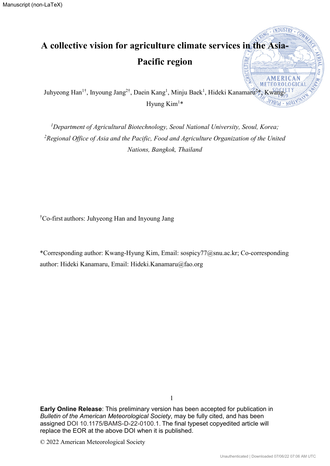# **A collective vision for agriculture climate services in the Asia-Pacific region TELESCO**

Juhyeong Han<sup>1†</sup>, Inyoung Jang<sup>2†</sup>, Daein Kang<sup>1</sup>, Minju Baek<sup>1</sup>, Hideki Kanamaru<sup>2</sup> \*, Kwang-Hyung Kim<sup>1\*</sup>

<sup>1</sup>Department of Agricultural Biotechnology, Seoul National University, Seoul, Korea; <sup>2</sup> Regional Office of Asia and the Pacific, Food and Agriculture Organization of the United *Nations, Bangkok, Thailand* 

† Co-first authors: Juhyeong Han and Inyoung Jang

\*Corresponding author: Kwang-Hyung Kim, Email: sospicy77@snu.ac.kr; Co-corresponding author: Hideki Kanamaru, Email: Hideki.Kanamaru@fao.org

**Early Online Release**: This preliminary version has been accepted for publication in *Bulletin of the American Meteorological Society*, may be fully cited, and has been assigned DOI 10.1175/BAMS-D-22-0100.1. The final typeset copyedited article will replace the EOR at the above DOI when it is published.

1

© 2022 American Meteorological Society

**AMFRICAN**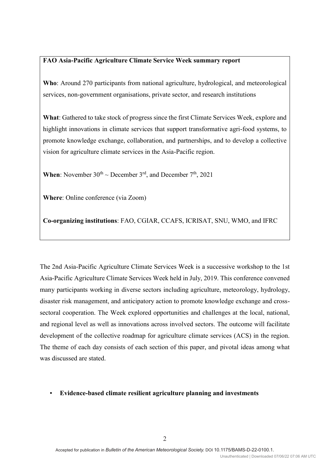# **FAO Asia-Pacific Agriculture Climate Service Week summary report**

**Who**: Around 270 participants from national agriculture, hydrological, and meteorological services, non-government organisations, private sector, and research institutions

**What**: Gathered to take stock of progress since the first Climate Services Week, explore and highlight innovations in climate services that support transformative agri-food systems, to promote knowledge exchange, collaboration, and partnerships, and to develop a collective vision for agriculture climate services in the Asia-Pacific region.

**When**: November  $30^{th} \sim$  December  $3^{rd}$ , and December  $7^{th}$ , 2021

**Where**: Online conference (via Zoom)

**Co-organizing institutions**: FAO, CGIAR, CCAFS, ICRISAT, SNU, WMO, and IFRC

The 2nd Asia-Pacific Agriculture Climate Services Week is a successive workshop to the 1st Asia-Pacific Agriculture Climate Services Week held in July, 2019. This conference convened many participants working in diverse sectors including agriculture, meteorology, hydrology, disaster risk management, and anticipatory action to promote knowledge exchange and crosssectoral cooperation. The Week explored opportunities and challenges at the local, national, and regional level as well as innovations across involved sectors. The outcome will facilitate development of the collective roadmap for agriculture climate services (ACS) in the region. The theme of each day consists of each section of this paper, and pivotal ideas among what was discussed are stated.

# ▪ **Evidence-based climate resilient agriculture planning and investments**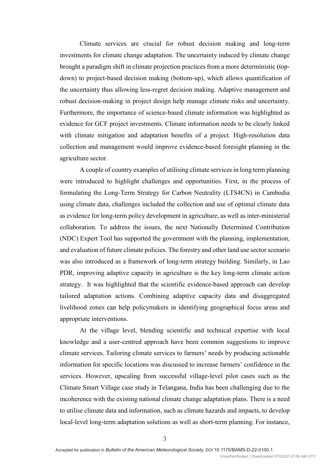Climate services are crucial for robust decision making and long-term investments for climate change adaptation. The uncertainty induced by climate change brought a paradigm shift in climate projection practices from a more deterministic (topdown) to project-based decision making (bottom-up), which allows quantification of the uncertainty thus allowing less-regret decision making. Adaptive management and robust decision-making in project design help manage climate risks and uncertainty. Furthermore, the importance of science-based climate information was highlighted as evidence for GCF project investments. Climate information needs to be clearly linked with climate mitigation and adaptation benefits of a project. High-resolution data collection and management would improve evidence-based foresight planning in the agriculture sector.

A couple of country examples of utilising climate services in long term planning were introduced to highlight challenges and opportunities. First, in the process of formulating the Long-Term Strategy for Carbon Neutrality (LTS4CN) in Cambodia using climate data, challenges included the collection and use of optimal climate data as evidence for long-term policy development in agriculture, as well as inter-ministerial collaboration. To address the issues, the next Nationally Determined Contribution (NDC) Expert Tool has supported the government with the planning, implementation, and evaluation of future climate policies. The forestry and other land use sector scenario was also introduced as a framework of long-term strategy building. Similarly, in Lao PDR, improving adaptive capacity in agriculture is the key long-term climate action strategy. It was highlighted that the scientific evidence-based approach can develop tailored adaptation actions. Combining adaptive capacity data and disaggregated livelihood zones can help policymakers in identifying geographical focus areas and appropriate interventions.

At the village level, blending scientific and technical expertise with local knowledge and a user-centred approach have been common suggestions to improve climate services. Tailoring climate services to farmers' needs by producing actionable information for specific locations was discussed to increase farmers' confidence in the services. However, upscaling from successful village-level pilot cases such as the Climate Smart Village case study in Telangana, India has been challenging due to the incoherence with the existing national climate change adaptation plans. There is a need to utilise climate data and information, such as climate hazards and impacts, to develop local-level long-term adaptation solutions as well as short-term planning. For instance,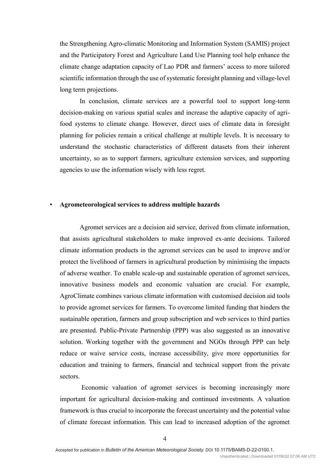the Strengthening Agro-climatic Monitoring and Information System (SAMIS) project and the Participatory Forest and Agriculture Land Use Planning tool help enhance the climate change adaptation capacity of Lao PDR and farmers' access to more tailored scientific information through the use of systematic foresight planning and village-level long term projections.

In conclusion, climate services are a powerful tool to support long-term decision-making on various spatial scales and increase the adaptive capacity of agrifood systems to climate change. However, direct uses of climate data in foresight planning for policies remain a critical challenge at multiple levels. It is necessary to understand the stochastic characteristics of different datasets from their inherent uncertainty, so as to support farmers, agriculture extension services, and supporting agencies to use the information wisely with less regret.

### ▪ **Agrometeorological services to address multiple hazards**

Agromet services are a decision aid service, derived from climate information, that assists agricultural stakeholders to make improved ex-ante decisions. Tailored climate information products in the agromet services can be used to improve and/or protect the livelihood of farmers in agricultural production by minimising the impacts of adverse weather. To enable scale-up and sustainable operation of agromet services, innovative business models and economic valuation are crucial. For example, AgroClimate combines various climate information with customised decision aid tools to provide agromet services for farmers. To overcome limited funding that hinders the sustainable operation, farmers and group subscription and web services to third parties are presented. Public-Private Partnership (PPP) was also suggested as an innovative solution. Working together with the government and NGOs through PPP can help reduce or waive service costs, increase accessibility, give more opportunities for education and training to farmers, financial and technical support from the private sectors.

Economic valuation of agromet services is becoming increasingly more important for agricultural decision-making and continued investments. A valuation framework is thus crucial to incorporate the forecast uncertainty and the potential value of climate forecast information. This can lead to increased adoption of the agromet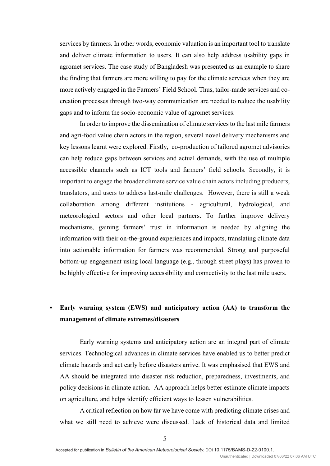services by farmers. In other words, economic valuation is an important tool to translate and deliver climate information to users. It can also help address usability gaps in agromet services. The case study of Bangladesh was presented as an example to share the finding that farmers are more willing to pay for the climate services when they are more actively engaged in the Farmers' Field School. Thus, tailor-made services and cocreation processes through two-way communication are needed to reduce the usability gaps and to inform the socio-economic value of agromet services.

In order to improve the dissemination of climate services to the last mile farmers and agri-food value chain actors in the region, several novel delivery mechanisms and key lessons learnt were explored. Firstly, co-production of tailored agromet advisories can help reduce gaps between services and actual demands, with the use of multiple accessible channels such as ICT tools and farmers' field schools. Secondly, it is important to engage the broader climate service value chain actors including producers, translators, and users to address last-mile challenges. However, there is still a weak collaboration among different institutions - agricultural, hydrological, and meteorological sectors and other local partners. To further improve delivery mechanisms, gaining farmers' trust in information is needed by aligning the information with their on-the-ground experiences and impacts, translating climate data into actionable information for farmers was recommended. Strong and purposeful bottom-up engagement using local language (e.g., through street plays) has proven to be highly effective for improving accessibility and connectivity to the last mile users.

# ▪ **Early warning system (EWS) and anticipatory action (AA) to transform the management of climate extremes/disasters**

Early warning systems and anticipatory action are an integral part of climate services. Technological advances in climate services have enabled us to better predict climate hazards and act early before disasters arrive. It was emphasised that EWS and AA should be integrated into disaster risk reduction, preparedness, investments, and policy decisions in climate action. AA approach helps better estimate climate impacts on agriculture, and helps identify efficient ways to lessen vulnerabilities.

A critical reflection on how far we have come with predicting climate crises and what we still need to achieve were discussed. Lack of historical data and limited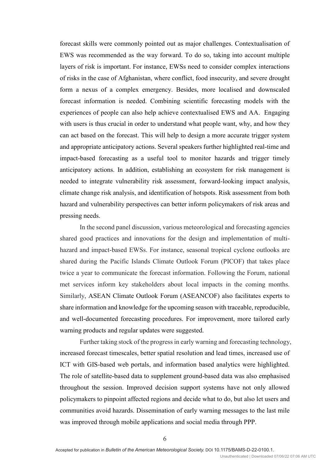forecast skills were commonly pointed out as major challenges. Contextualisation of EWS was recommended as the way forward. To do so, taking into account multiple layers of risk is important. For instance, EWSs need to consider complex interactions of risks in the case of Afghanistan, where conflict, food insecurity, and severe drought form a nexus of a complex emergency. Besides, more localised and downscaled forecast information is needed. Combining scientific forecasting models with the experiences of people can also help achieve contextualised EWS and AA. Engaging with users is thus crucial in order to understand what people want, why, and how they can act based on the forecast. This will help to design a more accurate trigger system and appropriate anticipatory actions. Several speakers further highlighted real-time and impact-based forecasting as a useful tool to monitor hazards and trigger timely anticipatory actions. In addition, establishing an ecosystem for risk management is needed to integrate vulnerability risk assessment, forward-looking impact analysis, climate change risk analysis, and identification of hotspots. Risk assessment from both hazard and vulnerability perspectives can better inform policymakers of risk areas and pressing needs.

In the second panel discussion, various meteorological and forecasting agencies shared good practices and innovations for the design and implementation of multihazard and impact-based EWSs. For instance, seasonal tropical cyclone outlooks are shared during the Pacific Islands Climate Outlook Forum (PICOF) that takes place twice a year to communicate the forecast information. Following the Forum, national met services inform key stakeholders about local impacts in the coming months. Similarly, ASEAN Climate Outlook Forum (ASEANCOF) also facilitates experts to share information and knowledge for the upcoming season with traceable, reproducible, and well-documented forecasting procedures. For improvement, more tailored early warning products and regular updates were suggested.

Further taking stock of the progress in early warning and forecasting technology, increased forecast timescales, better spatial resolution and lead times, increased use of ICT with GIS-based web portals, and information based analytics were highlighted. The role of satellite-based data to supplement ground-based data was also emphasised throughout the session. Improved decision support systems have not only allowed policymakers to pinpoint affected regions and decide what to do, but also let users and communities avoid hazards. Dissemination of early warning messages to the last mile was improved through mobile applications and social media through PPP.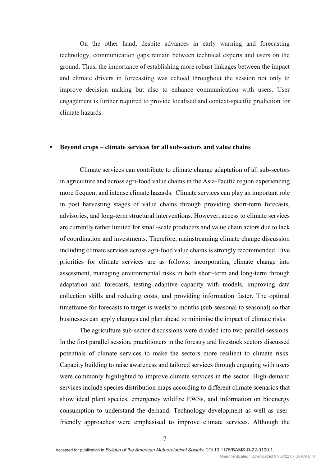On the other hand, despite advances in early warning and forecasting technology, communication gaps remain between technical experts and users on the ground. Thus, the importance of establishing more robust linkages between the impact and climate drivers in forecasting was echoed throughout the session not only to improve decision making but also to enhance communication with users. User engagement is further required to provide localised and context-specific prediction for climate hazards.

#### ▪ **Beyond crops – climate services for all sub-sectors and value chains**

Climate services can contribute to climate change adaptation of all sub-sectors in agriculture and across agri-food value chains in the Asia-Pacific region experiencing more frequent and intense climate hazards. Climate services can play an important role in post harvesting stages of value chains through providing short-term forecasts, advisories, and long-term structural interventions. However, access to climate services are currently rather limited for small-scale producers and value chain actors due to lack of coordination and investments. Therefore, mainstreaming climate change discussion including climate services across agri-food value chains is strongly recommended. Five priorities for climate services are as follows: incorporating climate change into assessment, managing environmental risks in both short-term and long-term through adaptation and forecasts, testing adaptive capacity with models, improving data collection skills and reducing costs, and providing information faster. The optimal timeframe for forecasts to target is weeks to months (sub-seasonal to seasonal) so that businesses can apply changes and plan ahead to minimise the impact of climate risks.

The agriculture sub-sector discussions were divided into two parallel sessions. In the first parallel session, practitioners in the forestry and livestock sectors discussed potentials of climate services to make the sectors more resilient to climate risks. Capacity building to raise awareness and tailored services through engaging with users were commonly highlighted to improve climate services in the sector. High-demand services include species distribution maps according to different climate scenarios that show ideal plant species, emergency wildfire EWSs, and information on bioenergy consumption to understand the demand. Technology development as well as userfriendly approaches were emphasised to improve climate services. Although the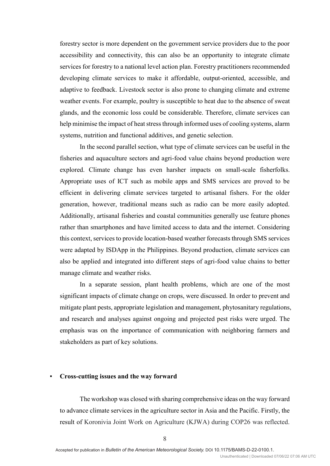forestry sector is more dependent on the government service providers due to the poor accessibility and connectivity, this can also be an opportunity to integrate climate services for forestry to a national level action plan. Forestry practitioners recommended developing climate services to make it affordable, output-oriented, accessible, and adaptive to feedback. Livestock sector is also prone to changing climate and extreme weather events. For example, poultry is susceptible to heat due to the absence of sweat glands, and the economic loss could be considerable. Therefore, climate services can help minimise the impact of heat stress through informed uses of cooling systems, alarm systems, nutrition and functional additives, and genetic selection.

In the second parallel section, what type of climate services can be useful in the fisheries and aquaculture sectors and agri-food value chains beyond production were explored. Climate change has even harsher impacts on small-scale fisherfolks. Appropriate uses of ICT such as mobile apps and SMS services are proved to be efficient in delivering climate services targeted to artisanal fishers. For the older generation, however, traditional means such as radio can be more easily adopted. Additionally, artisanal fisheries and coastal communities generally use feature phones rather than smartphones and have limited access to data and the internet. Considering this context, services to provide location-based weather forecasts through SMS services were adapted by ISDApp in the Philippines. Beyond production, climate services can also be applied and integrated into different steps of agri-food value chains to better manage climate and weather risks.

In a separate session, plant health problems, which are one of the most significant impacts of climate change on crops, were discussed. In order to prevent and mitigate plant pests, appropriate legislation and management, phytosanitary regulations, and research and analyses against ongoing and projected pest risks were urged. The emphasis was on the importance of communication with neighboring farmers and stakeholders as part of key solutions.

### ▪ **Cross-cutting issues and the way forward**

The workshop was closed with sharing comprehensive ideas on the way forward to advance climate services in the agriculture sector in Asia and the Pacific. Firstly, the result of Koronivia Joint Work on Agriculture (KJWA) during COP26 was reflected.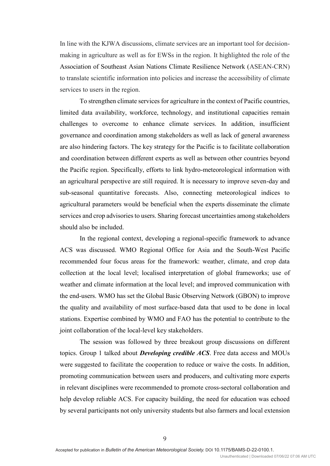In line with the KJWA discussions, climate services are an important tool for decisionmaking in agriculture as well as for EWSs in the region. It highlighted the role of the Association of Southeast Asian Nations Climate Resilience Network (ASEAN-CRN) to translate scientific information into policies and increase the accessibility of climate services to users in the region.

To strengthen climate services for agriculture in the context of Pacific countries, limited data availability, workforce, technology, and institutional capacities remain challenges to overcome to enhance climate services. In addition, insufficient governance and coordination among stakeholders as well as lack of general awareness are also hindering factors. The key strategy for the Pacific is to facilitate collaboration and coordination between different experts as well as between other countries beyond the Pacific region. Specifically, efforts to link hydro-meteorological information with an agricultural perspective are still required. It is necessary to improve seven-day and sub-seasonal quantitative forecasts. Also, connecting meteorological indices to agricultural parameters would be beneficial when the experts disseminate the climate services and crop advisories to users. Sharing forecast uncertainties among stakeholders should also be included.

In the regional context, developing a regional-specific framework to advance ACS was discussed. WMO Regional Office for Asia and the South-West Pacific recommended four focus areas for the framework: weather, climate, and crop data collection at the local level; localised interpretation of global frameworks; use of weather and climate information at the local level; and improved communication with the end-users. WMO has set the Global Basic Observing Network (GBON) to improve the quality and availability of most surface-based data that used to be done in local stations. Expertise combined by WMO and FAO has the potential to contribute to the joint collaboration of the local-level key stakeholders.

The session was followed by three breakout group discussions on different topics. Group 1 talked about *Developing credible ACS*. Free data access and MOUs were suggested to facilitate the cooperation to reduce or waive the costs. In addition, promoting communication between users and producers, and cultivating more experts in relevant disciplines were recommended to promote cross-sectoral collaboration and help develop reliable ACS. For capacity building, the need for education was echoed by several participants not only university students but also farmers and local extension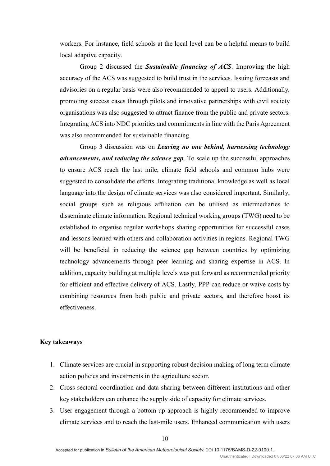workers. For instance, field schools at the local level can be a helpful means to build local adaptive capacity.

Group 2 discussed the *Sustainable financing of ACS*. Improving the high accuracy of the ACS was suggested to build trust in the services. Issuing forecasts and advisories on a regular basis were also recommended to appeal to users. Additionally, promoting success cases through pilots and innovative partnerships with civil society organisations was also suggested to attract finance from the public and private sectors. Integrating ACS into NDC priorities and commitments in line with the Paris Agreement was also recommended for sustainable financing.

Group 3 discussion was on *Leaving no one behind, harnessing technology advancements, and reducing the science gap*. To scale up the successful approaches to ensure ACS reach the last mile, climate field schools and common hubs were suggested to consolidate the efforts. Integrating traditional knowledge as well as local language into the design of climate services was also considered important. Similarly, social groups such as religious affiliation can be utilised as intermediaries to disseminate climate information. Regional technical working groups (TWG) need to be established to organise regular workshops sharing opportunities for successful cases and lessons learned with others and collaboration activities in regions. Regional TWG will be beneficial in reducing the science gap between countries by optimizing technology advancements through peer learning and sharing expertise in ACS. In addition, capacity building at multiple levels was put forward as recommended priority for efficient and effective delivery of ACS. Lastly, PPP can reduce or waive costs by combining resources from both public and private sectors, and therefore boost its effectiveness.

## **Key takeaways**

- 1. Climate services are crucial in supporting robust decision making of long term climate action policies and investments in the agriculture sector.
- 2. Cross-sectoral coordination and data sharing between different institutions and other key stakeholders can enhance the supply side of capacity for climate services.
- 3. User engagement through a bottom-up approach is highly recommended to improve climate services and to reach the last-mile users. Enhanced communication with users